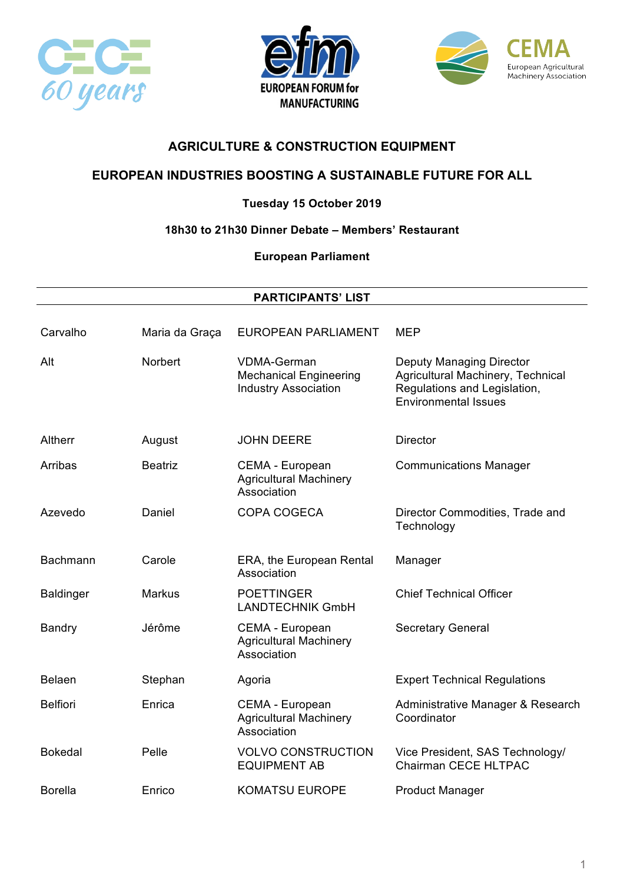





# **EUROPEAN INDUSTRIES BOOSTING A SUSTAINABLE FUTURE FOR ALL**

### **Tuesday 15 October 2019**

### **18h30 to 21h30 Dinner Debate – Members' Restaurant**

**European Parliament**

#### **PARTICIPANTS' LIST**

| Carvalho         | Maria da Graça | <b>EUROPEAN PARLIAMENT</b>                                                         | <b>MEP</b>                                                                                                                          |
|------------------|----------------|------------------------------------------------------------------------------------|-------------------------------------------------------------------------------------------------------------------------------------|
| Alt              | <b>Norbert</b> | <b>VDMA-German</b><br><b>Mechanical Engineering</b><br><b>Industry Association</b> | <b>Deputy Managing Director</b><br>Agricultural Machinery, Technical<br>Regulations and Legislation,<br><b>Environmental Issues</b> |
| Altherr          | August         | <b>JOHN DEERE</b>                                                                  | <b>Director</b>                                                                                                                     |
| Arribas          | <b>Beatriz</b> | CEMA - European<br><b>Agricultural Machinery</b><br>Association                    | <b>Communications Manager</b>                                                                                                       |
| Azevedo          | Daniel         | COPA COGECA                                                                        | Director Commodities, Trade and<br>Technology                                                                                       |
| Bachmann         | Carole         | ERA, the European Rental<br>Association                                            | Manager                                                                                                                             |
| <b>Baldinger</b> | <b>Markus</b>  | <b>POETTINGER</b><br><b>LANDTECHNIK GmbH</b>                                       | <b>Chief Technical Officer</b>                                                                                                      |
| Bandry           | Jérôme         | CEMA - European<br><b>Agricultural Machinery</b><br>Association                    | <b>Secretary General</b>                                                                                                            |
| <b>Belaen</b>    | Stephan        | Agoria                                                                             | <b>Expert Technical Regulations</b>                                                                                                 |
| <b>Belfiori</b>  | Enrica         | CEMA - European<br><b>Agricultural Machinery</b><br>Association                    | Administrative Manager & Research<br>Coordinator                                                                                    |
| <b>Bokedal</b>   | Pelle          | <b>VOLVO CONSTRUCTION</b><br><b>EQUIPMENT AB</b>                                   | Vice President, SAS Technology/<br>Chairman CECE HLTPAC                                                                             |
| <b>Borella</b>   | Enrico         | <b>KOMATSU EUROPE</b>                                                              | <b>Product Manager</b>                                                                                                              |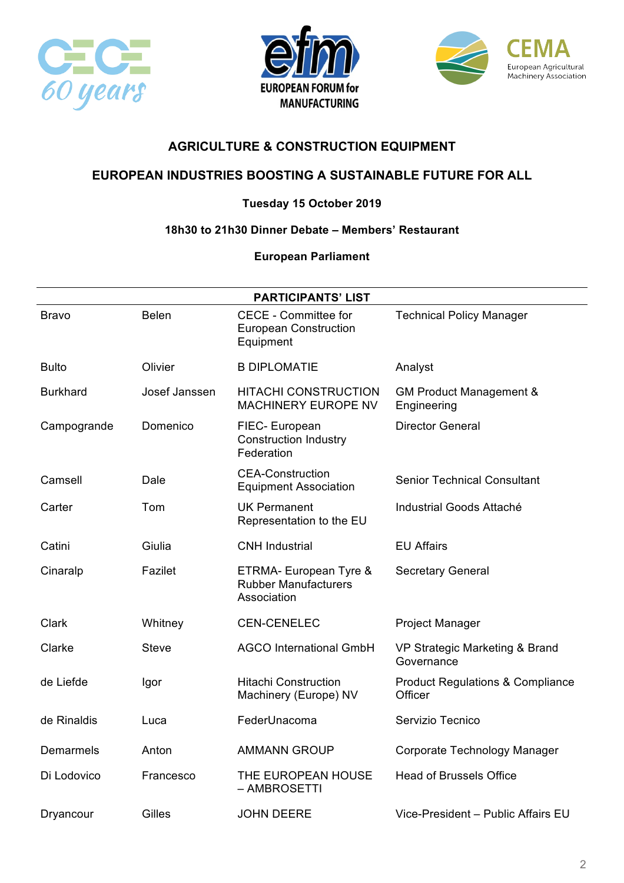





### **EUROPEAN INDUSTRIES BOOSTING A SUSTAINABLE FUTURE FOR ALL**

### **Tuesday 15 October 2019**

#### **18h30 to 21h30 Dinner Debate – Members' Restaurant**

| <b>PARTICIPANTS' LIST</b> |               |                                                                          |                                                        |
|---------------------------|---------------|--------------------------------------------------------------------------|--------------------------------------------------------|
| Bravo                     | <b>Belen</b>  | <b>CECE - Committee for</b><br><b>European Construction</b><br>Equipment | <b>Technical Policy Manager</b>                        |
| <b>Bulto</b>              | Olivier       | <b>B DIPLOMATIE</b>                                                      | Analyst                                                |
| <b>Burkhard</b>           | Josef Janssen | <b>HITACHI CONSTRUCTION</b><br><b>MACHINERY EUROPE NV</b>                | <b>GM Product Management &amp;</b><br>Engineering      |
| Campogrande               | Domenico      | FIEC- European<br><b>Construction Industry</b><br>Federation             | <b>Director General</b>                                |
| Camsell                   | Dale          | <b>CEA-Construction</b><br><b>Equipment Association</b>                  | <b>Senior Technical Consultant</b>                     |
| Carter                    | Tom           | <b>UK Permanent</b><br>Representation to the EU                          | Industrial Goods Attaché                               |
| Catini                    | Giulia        | <b>CNH Industrial</b>                                                    | <b>EU Affairs</b>                                      |
| Cinaralp                  | Fazilet       | ETRMA- European Tyre &<br><b>Rubber Manufacturers</b><br>Association     | <b>Secretary General</b>                               |
| Clark                     | Whitney       | <b>CEN-CENELEC</b>                                                       | <b>Project Manager</b>                                 |
| Clarke                    | <b>Steve</b>  | <b>AGCO International GmbH</b>                                           | VP Strategic Marketing & Brand<br>Governance           |
| de Liefde                 | Igor          | <b>Hitachi Construction</b><br>Machinery (Europe) NV                     | <b>Product Regulations &amp; Compliance</b><br>Officer |
| de Rinaldis               | Luca          | FederUnacoma                                                             | Servizio Tecnico                                       |
| Demarmels                 | Anton         | <b>AMMANN GROUP</b>                                                      | Corporate Technology Manager                           |
| Di Lodovico               | Francesco     | THE EUROPEAN HOUSE<br>- AMBROSETTI                                       | <b>Head of Brussels Office</b>                         |
| Dryancour                 | Gilles        | <b>JOHN DEERE</b>                                                        | Vice-President - Public Affairs EU                     |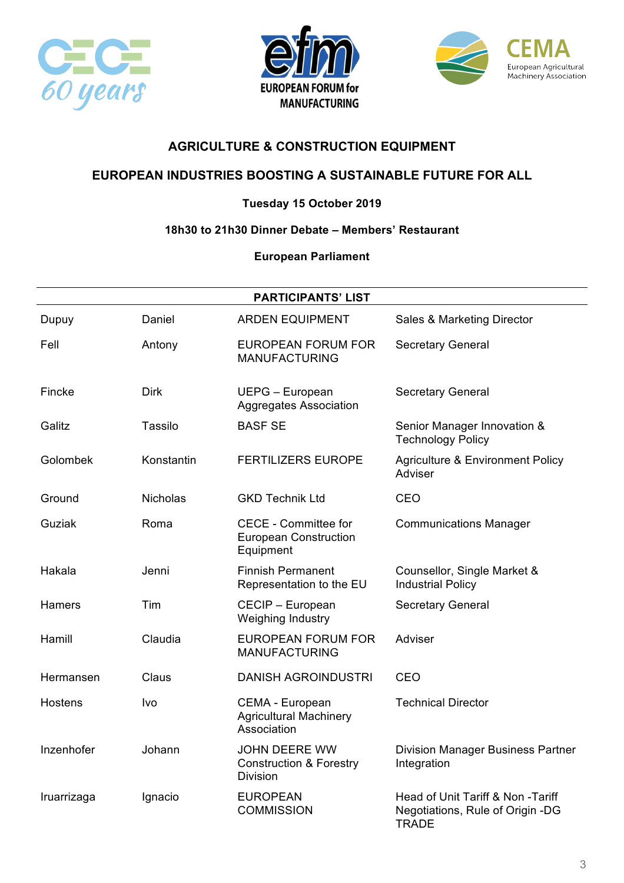





### **EUROPEAN INDUSTRIES BOOSTING A SUSTAINABLE FUTURE FOR ALL**

### **Tuesday 15 October 2019**

### **18h30 to 21h30 Dinner Debate – Members' Restaurant**

| <b>PARTICIPANTS' LIST</b> |                 |                                                                               |                                                                                       |
|---------------------------|-----------------|-------------------------------------------------------------------------------|---------------------------------------------------------------------------------------|
| Dupuy                     | Daniel          | <b>ARDEN EQUIPMENT</b>                                                        | Sales & Marketing Director                                                            |
| Fell                      | Antony          | EUROPEAN FORUM FOR<br><b>MANUFACTURING</b>                                    | <b>Secretary General</b>                                                              |
| Fincke                    | <b>Dirk</b>     | UEPG - European<br><b>Aggregates Association</b>                              | <b>Secretary General</b>                                                              |
| Galitz                    | Tassilo         | <b>BASF SE</b>                                                                | Senior Manager Innovation &<br><b>Technology Policy</b>                               |
| Golombek                  | Konstantin      | <b>FERTILIZERS EUROPE</b>                                                     | <b>Agriculture &amp; Environment Policy</b><br>Adviser                                |
| Ground                    | <b>Nicholas</b> | <b>GKD Technik Ltd</b>                                                        | CEO                                                                                   |
| Guziak                    | Roma            | <b>CECE - Committee for</b><br><b>European Construction</b><br>Equipment      | <b>Communications Manager</b>                                                         |
| Hakala                    | Jenni           | <b>Finnish Permanent</b><br>Representation to the EU                          | Counsellor, Single Market &<br><b>Industrial Policy</b>                               |
| Hamers                    | Tim             | CECIP - European<br>Weighing Industry                                         | <b>Secretary General</b>                                                              |
| Hamill                    | Claudia         | <b>EUROPEAN FORUM FOR</b><br><b>MANUFACTURING</b>                             | Adviser                                                                               |
| Hermansen                 | Claus           | <b>DANISH AGROINDUSTRI</b>                                                    | CEO                                                                                   |
| <b>Hostens</b>            | Ivo             | CEMA - European<br><b>Agricultural Machinery</b><br>Association               | <b>Technical Director</b>                                                             |
| Inzenhofer                | Johann          | <b>JOHN DEERE WW</b><br><b>Construction &amp; Forestry</b><br><b>Division</b> | <b>Division Manager Business Partner</b><br>Integration                               |
| Iruarrizaga               | Ignacio         | <b>EUROPEAN</b><br><b>COMMISSION</b>                                          | Head of Unit Tariff & Non -Tariff<br>Negotiations, Rule of Origin -DG<br><b>TRADE</b> |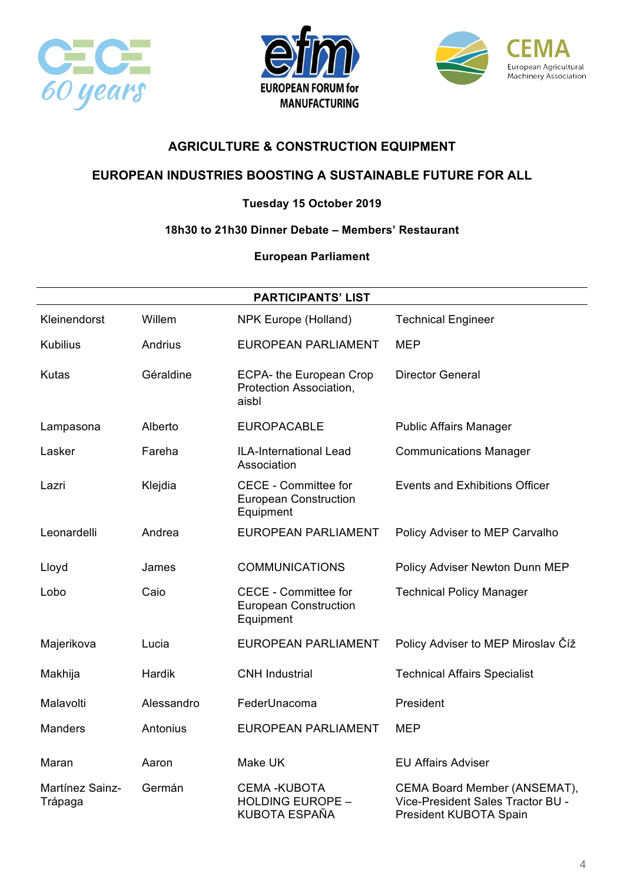





# **EUROPEAN INDUSTRIES BOOSTING A SUSTAINABLE FUTURE FOR ALL**

### **Tuesday 15 October 2019**

### **18h30 to 21h30 Dinner Debate – Members' Restaurant**

| <b>PARTICIPANTS' LIST</b>  |            |                                                                          |                                                                                             |
|----------------------------|------------|--------------------------------------------------------------------------|---------------------------------------------------------------------------------------------|
| Kleinendorst               | Willem     | NPK Europe (Holland)                                                     | <b>Technical Engineer</b>                                                                   |
| <b>Kubilius</b>            | Andrius    | <b>EUROPEAN PARLIAMENT</b>                                               | <b>MEP</b>                                                                                  |
| Kutas                      | Géraldine  | ECPA- the European Crop<br>Protection Association,<br>aisbl              | <b>Director General</b>                                                                     |
| Lampasona                  | Alberto    | <b>EUROPACABLE</b>                                                       | <b>Public Affairs Manager</b>                                                               |
| Lasker                     | Fareha     | ILA-International Lead<br>Association                                    | <b>Communications Manager</b>                                                               |
| Lazri                      | Klejdia    | <b>CECE - Committee for</b><br><b>European Construction</b><br>Equipment | <b>Events and Exhibitions Officer</b>                                                       |
| Leonardelli                | Andrea     | <b>EUROPEAN PARLIAMENT</b>                                               | Policy Adviser to MEP Carvalho                                                              |
| Lloyd                      | James      | <b>COMMUNICATIONS</b>                                                    | Policy Adviser Newton Dunn MEP                                                              |
| Lobo                       | Caio       | <b>CECE - Committee for</b><br><b>European Construction</b><br>Equipment | <b>Technical Policy Manager</b>                                                             |
| Majerikova                 | Lucia      | <b>EUROPEAN PARLIAMENT</b>                                               | Policy Adviser to MEP Miroslav Číž                                                          |
| Makhija                    | Hardik     | <b>CNH</b> Industrial                                                    | <b>Technical Affairs Specialist</b>                                                         |
| Malavolti                  | Alessandro | FederUnacoma                                                             | President                                                                                   |
| <b>Manders</b>             | Antonius   | <b>EUROPEAN PARLIAMENT</b>                                               | <b>MEP</b>                                                                                  |
| Maran                      | Aaron      | Make UK                                                                  | <b>EU Affairs Adviser</b>                                                                   |
| Martínez Sainz-<br>Trápaga | Germán     | <b>CEMA-KUBOTA</b><br><b>HOLDING EUROPE -</b><br>KUBOTA ESPAÑA           | CEMA Board Member (ANSEMAT),<br>Vice-President Sales Tractor BU -<br>President KUBOTA Spain |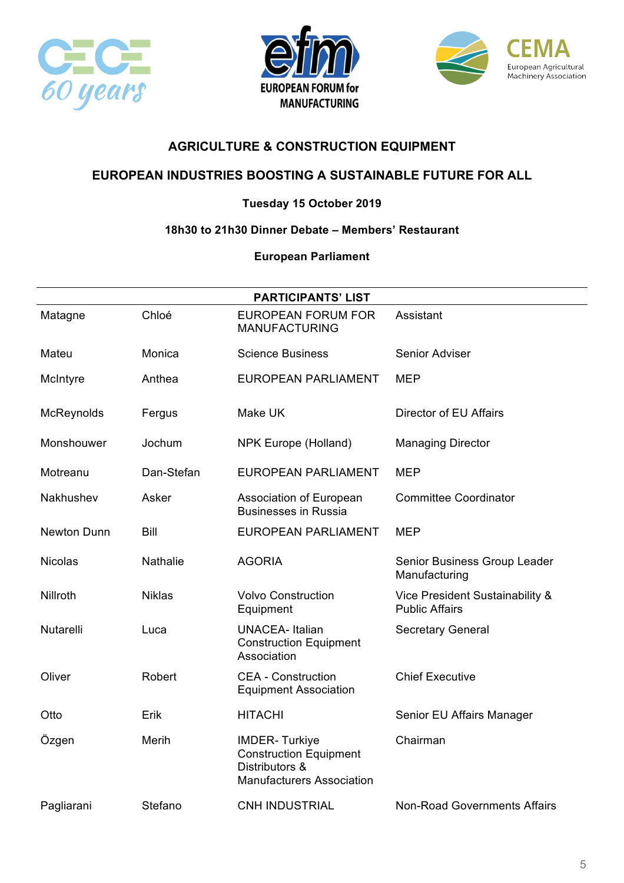





### **EUROPEAN INDUSTRIES BOOSTING A SUSTAINABLE FUTURE FOR ALL**

### **Tuesday 15 October 2019**

#### **18h30 to 21h30 Dinner Debate – Members' Restaurant**

| <b>PARTICIPANTS' LIST</b> |                 |                                                                                                             |                                                          |
|---------------------------|-----------------|-------------------------------------------------------------------------------------------------------------|----------------------------------------------------------|
| Matagne                   | Chloé           | <b>EUROPEAN FORUM FOR</b><br><b>MANUFACTURING</b>                                                           | Assistant                                                |
| Mateu                     | Monica          | <b>Science Business</b>                                                                                     | Senior Adviser                                           |
| McIntyre                  | Anthea          | <b>EUROPEAN PARLIAMENT</b>                                                                                  | <b>MEP</b>                                               |
| McReynolds                | Fergus          | Make UK                                                                                                     | Director of EU Affairs                                   |
| Monshouwer                | Jochum          | <b>NPK Europe (Holland)</b>                                                                                 | <b>Managing Director</b>                                 |
| Motreanu                  | Dan-Stefan      | <b>EUROPEAN PARLIAMENT</b>                                                                                  | <b>MEP</b>                                               |
| Nakhushev                 | Asker           | Association of European<br><b>Businesses in Russia</b>                                                      | <b>Committee Coordinator</b>                             |
| Newton Dunn               | Bill            | <b>EUROPEAN PARLIAMENT</b>                                                                                  | <b>MEP</b>                                               |
| Nicolas                   | <b>Nathalie</b> | <b>AGORIA</b>                                                                                               | Senior Business Group Leader<br>Manufacturing            |
| Nillroth                  | <b>Niklas</b>   | <b>Volvo Construction</b><br>Equipment                                                                      | Vice President Sustainability &<br><b>Public Affairs</b> |
| Nutarelli                 | Luca            | <b>UNACEA-Italian</b><br><b>Construction Equipment</b><br>Association                                       | <b>Secretary General</b>                                 |
| Oliver                    | Robert          | <b>CEA - Construction</b><br><b>Equipment Association</b>                                                   | <b>Chief Executive</b>                                   |
| Otto                      | Erik            | <b>HITACHI</b>                                                                                              | Senior EU Affairs Manager                                |
| Özgen                     | Merih           | <b>IMDER-Turkiye</b><br><b>Construction Equipment</b><br>Distributors &<br><b>Manufacturers Association</b> | Chairman                                                 |
| Pagliarani                | Stefano         | <b>CNH INDUSTRIAL</b>                                                                                       | <b>Non-Road Governments Affairs</b>                      |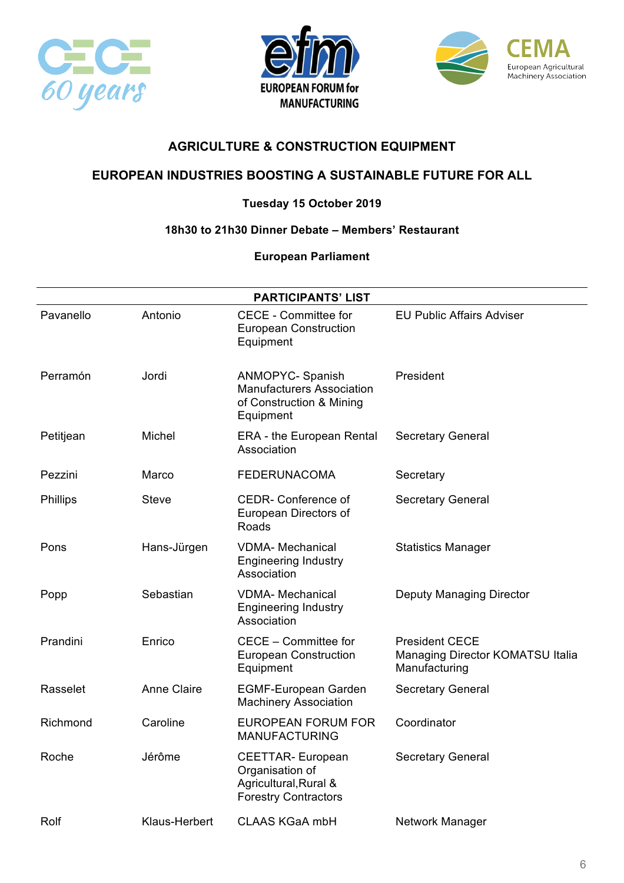





# **EUROPEAN INDUSTRIES BOOSTING A SUSTAINABLE FUTURE FOR ALL**

### **Tuesday 15 October 2019**

#### **18h30 to 21h30 Dinner Debate – Members' Restaurant**

| <b>PARTICIPANTS' LIST</b> |                    |                                                                                                      |                                                                            |
|---------------------------|--------------------|------------------------------------------------------------------------------------------------------|----------------------------------------------------------------------------|
| Pavanello                 | Antonio            | <b>CECE - Committee for</b><br><b>European Construction</b><br>Equipment                             | <b>EU Public Affairs Adviser</b>                                           |
| Perramón                  | Jordi              | <b>ANMOPYC- Spanish</b><br><b>Manufacturers Association</b><br>of Construction & Mining<br>Equipment | President                                                                  |
| Petitjean                 | Michel             | <b>ERA</b> - the European Rental<br>Association                                                      | Secretary General                                                          |
| Pezzini                   | Marco              | <b>FEDERUNACOMA</b>                                                                                  | Secretary                                                                  |
| <b>Phillips</b>           | <b>Steve</b>       | <b>CEDR-</b> Conference of<br>European Directors of<br>Roads                                         | <b>Secretary General</b>                                                   |
| Pons                      | Hans-Jürgen        | <b>VDMA- Mechanical</b><br><b>Engineering Industry</b><br>Association                                | <b>Statistics Manager</b>                                                  |
| Popp                      | Sebastian          | <b>VDMA- Mechanical</b><br><b>Engineering Industry</b><br>Association                                | Deputy Managing Director                                                   |
| Prandini                  | Enrico             | CECE - Committee for<br><b>European Construction</b><br>Equipment                                    | <b>President CECE</b><br>Managing Director KOMATSU Italia<br>Manufacturing |
| Rasselet                  | <b>Anne Claire</b> | <b>EGMF-European Garden</b><br><b>Machinery Association</b>                                          | <b>Secretary General</b>                                                   |
| Richmond                  | Caroline           | <b>EUROPEAN FORUM FOR</b><br><b>MANUFACTURING</b>                                                    | Coordinator                                                                |
| Roche                     | Jérôme             | <b>CEETTAR-European</b><br>Organisation of<br>Agricultural, Rural &<br><b>Forestry Contractors</b>   | <b>Secretary General</b>                                                   |
| Rolf                      | Klaus-Herbert      | <b>CLAAS KGaA mbH</b>                                                                                | Network Manager                                                            |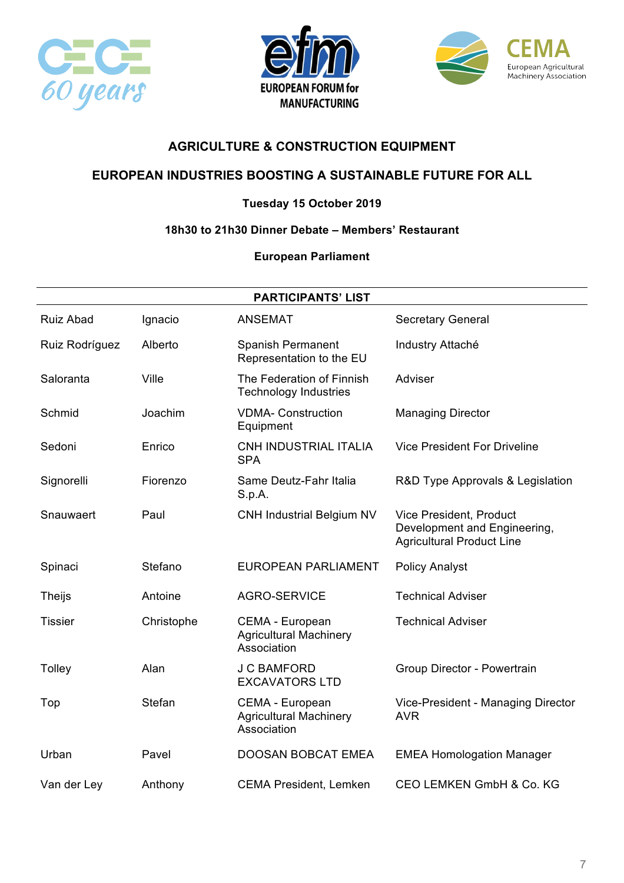





# **EUROPEAN INDUSTRIES BOOSTING A SUSTAINABLE FUTURE FOR ALL**

### **Tuesday 15 October 2019**

#### **18h30 to 21h30 Dinner Debate – Members' Restaurant**

| <b>PARTICIPANTS' LIST</b> |            |                                                                 |                                                                                             |
|---------------------------|------------|-----------------------------------------------------------------|---------------------------------------------------------------------------------------------|
| <b>Ruiz Abad</b>          | Ignacio    | <b>ANSEMAT</b>                                                  | <b>Secretary General</b>                                                                    |
| Ruiz Rodríguez            | Alberto    | <b>Spanish Permanent</b><br>Representation to the EU            | Industry Attaché                                                                            |
| Saloranta                 | Ville      | The Federation of Finnish<br><b>Technology Industries</b>       | Adviser                                                                                     |
| Schmid                    | Joachim    | <b>VDMA- Construction</b><br>Equipment                          | <b>Managing Director</b>                                                                    |
| Sedoni                    | Enrico     | CNH INDUSTRIAL ITALIA<br><b>SPA</b>                             | <b>Vice President For Driveline</b>                                                         |
| Signorelli                | Fiorenzo   | Same Deutz-Fahr Italia<br>S.p.A.                                | R&D Type Approvals & Legislation                                                            |
| Snauwaert                 | Paul       | <b>CNH Industrial Belgium NV</b>                                | Vice President, Product<br>Development and Engineering,<br><b>Agricultural Product Line</b> |
| Spinaci                   | Stefano    | <b>EUROPEAN PARLIAMENT</b>                                      | <b>Policy Analyst</b>                                                                       |
| <b>Theijs</b>             | Antoine    | <b>AGRO-SERVICE</b>                                             | <b>Technical Adviser</b>                                                                    |
| <b>Tissier</b>            | Christophe | CEMA - European<br><b>Agricultural Machinery</b><br>Association | <b>Technical Adviser</b>                                                                    |
| Tolley                    | Alan       | <b>J C BAMFORD</b><br><b>EXCAVATORS LTD</b>                     | Group Director - Powertrain                                                                 |
| Top                       | Stefan     | CEMA - European<br><b>Agricultural Machinery</b><br>Association | Vice-President - Managing Director<br><b>AVR</b>                                            |
| Urban                     | Pavel      | <b>DOOSAN BOBCAT EMEA</b>                                       | <b>EMEA Homologation Manager</b>                                                            |
| Van der Ley               | Anthony    | <b>CEMA President, Lemken</b>                                   | CEO LEMKEN GmbH & Co. KG                                                                    |